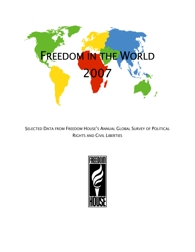

SELECTED DATA FROM FREEDOM HOUSE'S ANNUAL GLOBAL SURVEY OF POLITICAL RIGHTS AND CIVIL LIBERTIES

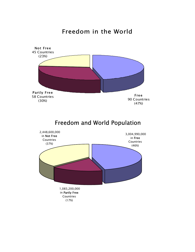### Freedom in the World

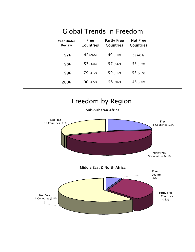## Global Trends in Freedom

| Year Under<br><b>Review</b> | Free<br><b>Countries</b> | <b>Partly Free</b><br><b>Countries</b> | <b>Not Free</b><br><b>Countries</b> |
|-----------------------------|--------------------------|----------------------------------------|-------------------------------------|
| 1976                        | 42 (26%)                 | 49 (31%)                               | 68 (43%)                            |
| 1986                        | 57 (34%)                 | 57 (34%)                               | 53 (32%)                            |
| 1996                        | 79 (41%)                 | 59 (31%)                               | 53 (28%)                            |
| 2006                        | 90 (47%)                 | 58 (30%)                               | 45 (23%)                            |

## Freedom by Region

Sub-Saharan Africa

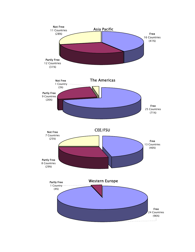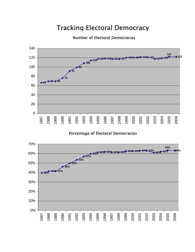## Tracking Electoral Democracy

#### Number of Electoral Democracies



Percentage of Electoral Democracies

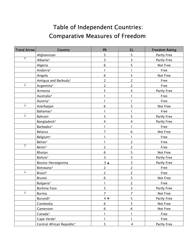# Table of Independent Countries: Comparative Measures of Freedom

| <b>Trend Arrow</b> | Country                   | <b>PR</b>              | <b>CL</b>               | <b>Freedom Rating</b> |
|--------------------|---------------------------|------------------------|-------------------------|-----------------------|
|                    | Afghanistan               | 5                      | 5                       | Partly Free           |
| $\uparrow$         | Albania*                  | 3                      | 3                       | Partly Free           |
|                    | Algeria                   | $\sqrt{6}$             | 5                       | Not Free              |
|                    | Andorra*                  | 1                      |                         | Free                  |
|                    | Angola                    | 6                      | 5                       | Not Free              |
|                    | Antigua and Barbuda*      | $\overline{2}$         | $\overline{2}$          | Free                  |
| $\downarrow$       | Argentina*                | $\overline{2}$         | $\overline{c}$          | Free                  |
|                    | Armenia                   | 5                      | 4                       | Partly Free           |
|                    | Australia*                |                        | 1                       | Free                  |
|                    | Austria*                  |                        |                         | Free                  |
| ↓                  | Azerbaijan                | 6                      | 5                       | Not Free              |
|                    | Bahamas*                  | 1                      | 1                       | Free                  |
| ↓                  | Bahrain                   | 5                      | 5                       | Partly Free           |
|                    | Bangladesh*               | 4                      | 4                       | Partly Free           |
|                    | Barbados*                 | 1                      | 1                       | Free                  |
|                    | <b>Belarus</b>            | $\overline{7}$         | 6                       | Not Free              |
|                    | Belgium*                  |                        | 1                       | Free                  |
|                    | Belize*                   | $\mathbf{1}$           | $\overline{c}$          | Free                  |
| $\uparrow$         | Benin*                    | $\overline{c}$         | $\overline{2}$          | Free                  |
|                    | Bhutan                    | $\sqrt{6}$             | 5                       | Not Free              |
|                    | Bolivia*                  | $\overline{3}$         | 3                       | Partly Free           |
|                    | Bosnia-Herzegovina        | $3 \triangle$          | 3                       | Partly Free           |
|                    | Botswana*                 | $\overline{c}$         | $\overline{2}$          | Free                  |
| ↓                  | Brazil*                   | $\overline{c}$         | $\overline{c}$          | Free                  |
|                    | Brunei                    | 6                      | 5                       | Not Free              |
|                    | Bulgaria*                 |                        | $\overline{c}$          | Free                  |
|                    | <b>Burkina Faso</b>       | 5                      | 3                       | Partly Free           |
| $\downarrow$       | <b>Burma</b>              | $\overline{7}$         | $\overline{7}$          | Not Free              |
|                    | Burundi*                  | $4 \blacktriangledown$ | 5                       | Partly Free           |
|                    | Cambodia                  | 6                      | 5                       | Not Free              |
|                    | Cameroon                  | 6                      | 6                       | Not Free              |
|                    | Canada*                   | 1                      | 1                       | Free                  |
|                    | Cape Verde*               | 1                      | 1                       | Free                  |
|                    | Central African Republic* | 5                      | $\overline{\mathbf{4}}$ | Partly Free           |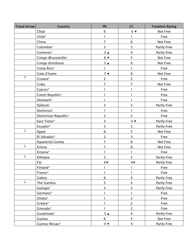| <b>Trend Arrow</b> | Country                  | <b>PR</b>              | CL                      | <b>Freedom Rating</b> |
|--------------------|--------------------------|------------------------|-------------------------|-----------------------|
|                    | Chad                     | 6                      | $6 \blacktriangledown$  | Not Free              |
|                    | Chile*                   | 1                      |                         | Free                  |
|                    | China                    | $\overline{7}$         | 6                       | Not Free              |
|                    | Colombia*                | $\overline{3}$         | 3                       | Partly Free           |
|                    | Comoros*                 | $3^{\circ}$            | $\overline{4}$          | Partly Free           |
|                    | Congo (Brazzaville)      | $6 \blacktriangledown$ | 5                       | Not Free              |
|                    | Congo (Kinshasa)         | 5 <sub>A</sub>         | 6                       | Not Free              |
|                    | Costa Rica*              | 1                      |                         | Free                  |
|                    | Cote d'Ivoire            | 7 <sub>v</sub>         | $\sqrt{6}$              | Not Free              |
| $\uparrow$         | Croatia*                 | $\overline{2}$         | $\overline{2}$          | Free                  |
|                    | Cuba                     | $\overline{7}$         | $\overline{7}$          | Not Free              |
|                    | Cyprus*                  | 1                      |                         | Free                  |
|                    | Czech Republic*          |                        |                         | Free                  |
|                    | Denmark*                 |                        |                         | Free                  |
|                    | Djibouti                 | 5                      | 5                       | Partly Free           |
|                    | Dominica*                |                        |                         | Free                  |
|                    | Dominican Republic*      | $\overline{2}$         | $\overline{2}$          | Free                  |
|                    | East Timor*              | 3                      | $4 \blacktriangledown$  | Partly Free           |
|                    | Ecuador*                 | 3                      | 3                       | Partly Free           |
| ↓                  | Egypt                    | $\sqrt{6}$             | 5                       | Not Free              |
|                    | El Salvador*             | $\overline{2}$         | 3                       | Free                  |
|                    | <b>Equatorial Guinea</b> | $\overline{7}$         | 6                       | Not Free              |
| ↓                  | Eritrea                  | $\overline{7}$         | $\sqrt{6}$              | Not Free              |
|                    | Estonia*                 | 1                      | 1                       | Free                  |
| $\downarrow$       | Ethiopia                 | 5                      | 5                       | Partly Free           |
|                    | Fiji                     | $6\blacktriangledown$  | $4\blacktriangledown$   | <b>Partly Free</b>    |
|                    | Finland*                 |                        |                         | Free                  |
|                    | France*                  |                        |                         | Free                  |
|                    | Gabon                    | $6\phantom{a}$         | $\overline{4}$          | Partly Free           |
| ↓                  | The Gambia               | 5                      | $\overline{\mathbf{4}}$ | Partly Free           |
|                    | Georgia*                 | 3                      | $\overline{3}$          | Partly Free           |
|                    | Germany*                 |                        | 1                       | Free                  |
|                    | Ghana*                   | $\mathbf{1}$           | $\overline{2}$          | Free                  |
|                    | Greece*                  | 1                      | $\overline{2}$          | Free                  |
|                    | Grenada*                 | 1                      | $\overline{c}$          | Free                  |
|                    | Guatemala*               | $3^{\circ}$            | $\overline{4}$          | Partly Free           |
|                    | Guinea                   | 6                      | 5                       | Not Free              |
|                    | Guinea-Bissau*           | $4 \blacktriangledown$ | $\overline{4}$          | Partly Free           |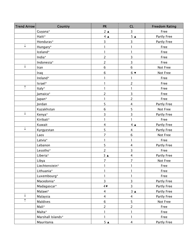| <b>Trend Arrow</b> | <b>Country</b>    | <b>PR</b>               | <b>CL</b>               | <b>Freedom Rating</b> |
|--------------------|-------------------|-------------------------|-------------------------|-----------------------|
|                    | Guyana*           | $2 \triangle$           | $\overline{3}$          | Free                  |
|                    | Haiti*            | $4 \triangle$           | 5 <sub>A</sub>          | Partly Free           |
|                    | Honduras*         | 3                       | 3                       | Partly Free           |
| ↓                  | Hungary*          | 1                       |                         | Free                  |
|                    | Iceland*          | 1                       | $\mathbf{1}$            | Free                  |
|                    | India*            | $\overline{c}$          | 3                       | Free                  |
|                    | Indonesia*        | $\overline{2}$          | 3                       | Free                  |
| ↓                  | Iran              | 6                       | $\,6\,$                 | Not Free              |
|                    | Iraq              | 6                       | $6 \blacktriangledown$  | Not Free              |
|                    | Ireland*          |                         | 1                       | Free                  |
|                    | Israel*           |                         | $\overline{2}$          | Free                  |
| $\uparrow$         | Italy*            |                         |                         | Free                  |
|                    | Jamaica*          | $\overline{2}$          | 3                       | Free                  |
|                    | Japan*            | 1                       | $\overline{2}$          | Free                  |
|                    | Jordan            | 5                       | $\overline{4}$          | Partly Free           |
|                    | Kazakhstan        | 6                       | 5                       | Not Free              |
| $\downarrow$       | Kenya*            | 3                       | $\overline{3}$          | Partly Free           |
|                    | Kiribati*         | 1                       | 1                       | Free                  |
|                    | Kuwait            | $\overline{\mathbf{4}}$ | $4 \triangle$           | Partly Free           |
| ↓                  | Kyrgyzstan        | 5                       | $\overline{\mathbf{4}}$ | Partly Free           |
|                    | Laos              | $\overline{7}$          | $\,6\,$                 | Not Free              |
|                    | Latvia*           | 1                       | 1                       | Free                  |
|                    | Lebanon           | 5                       | $\overline{\mathbf{4}}$ | Partly Free           |
|                    | Lesotho*          | $\overline{2}$          | 3                       | Free                  |
|                    | Liberia*          | $3 \triangle$           | 4                       | Partly Free           |
|                    | Libya             | $\overline{7}$          | $\overline{7}$          | Not Free              |
|                    | Liechtenstein*    | $\mathbf{1}$            | 1                       | <b>Free</b>           |
|                    | Lithuania*        |                         |                         | Free                  |
|                    | Luxembourg*       | 1                       | ı                       | Free                  |
|                    | Macedonia*        | $\overline{3}$          | 3                       | Partly Free           |
|                    | Madagascar*       | $4\sqrt{ }$             | $\overline{3}$          | Partly Free           |
|                    | Malawi*           | 4                       | $3^{\circ}$             | Partly Free           |
| ↓                  | Malaysia          | 4                       | 4                       | Partly Free           |
| $\uparrow$         | Maldives          | 6                       | 5                       | Not Free              |
|                    | Mali*             | $\overline{a}$          | $\overline{c}$          | Free                  |
|                    | Malta*            | 1                       |                         | Free                  |
|                    | Marshall Islands* | 1                       | 1                       | Free                  |
|                    | Mauritania        | 5 <sub>A</sub>          | 4                       | Partly Free           |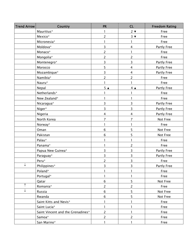| <b>Trend Arrow</b> | <b>Country</b>                    | <b>PR</b>      | CL                      | <b>Freedom Rating</b> |
|--------------------|-----------------------------------|----------------|-------------------------|-----------------------|
|                    | Mauritius*                        | 1              | $2 \blacktriangledown$  | Free                  |
|                    | Mexico*                           | 2              | $3 \blacktriangledown$  | Free                  |
|                    | Micronesia*                       | 1              | 1                       | Free                  |
|                    | Moldova*                          | 3              | $\overline{4}$          | Partly Free           |
|                    | Monaco*                           | $\overline{c}$ | $\mathbf{I}$            | Free                  |
|                    | Mongolia*                         | $\overline{2}$ | $\overline{c}$          | Free                  |
|                    | Montenegro*                       | 3              | 3                       | Partly Free           |
|                    | Morocco                           | 5              | $\overline{4}$          | Partly Free           |
|                    | Mozambique*                       | 3              | $\overline{4}$          | Partly Free           |
|                    | Namibia*                          | $\overline{2}$ | $\overline{c}$          | Free                  |
|                    | Nauru*                            | 1              | 1                       | Free                  |
|                    | Nepal                             | 5 <sub>A</sub> | $4 \triangle$           | Partly Free           |
|                    | Netherlands*                      |                | 1                       | Free                  |
|                    | New Zealand*                      |                | 1                       | Free                  |
|                    | Nicaragua*                        | 3              | 3                       | Partly Free           |
|                    | Niger*                            | 3              | 3                       | Partly Free           |
|                    | Nigeria                           | $\overline{4}$ | $\overline{\mathbf{4}}$ | Partly Free           |
|                    | North Korea                       | 7              | 7                       | Not Free              |
|                    | Norway*                           | 1              | 1                       | Free                  |
|                    | Oman                              | $\,$ 6 $\,$    | 5                       | Not Free              |
|                    | Pakistan                          | $\,$ 6         | 5                       | Not Free              |
|                    | Palau*                            |                | $\mathbf{I}$            | Free                  |
|                    | Panama*                           |                | $\overline{c}$          | Free                  |
|                    | Papua New Guinea*                 | 3              | 3                       | Partly Free           |
|                    | Paraguay*                         | 3              | 3                       | Partly Free           |
|                    | Peru*                             | $\overline{2}$ | 3                       | Free                  |
|                    | Philippines*                      | 3              | 3                       | Partly Free           |
|                    | Poland*                           |                | 1                       | Free                  |
|                    | Portugal*                         | 1              | 1                       | Free                  |
|                    | Qatar                             | 6              | 5                       | Not Free              |
| $\uparrow$         | Romania*                          | $\overline{2}$ | $\overline{c}$          | Free                  |
|                    | Russia                            | $\sqrt{6}$     | 5                       | Not Free              |
|                    | Rwanda                            | 6              | 5                       | Not Free              |
|                    | Saint Kitts and Nevis*            |                | 1                       | Free                  |
|                    | Saint Lucia*                      | 1              | 1                       | Free                  |
|                    | Saint Vincent and the Grenadines* | $\overline{2}$ | 1                       | Free                  |
|                    | Samoa*                            | $\overline{2}$ | $\overline{2}$          | Free                  |
|                    | San Marino*                       |                | 1                       | Free                  |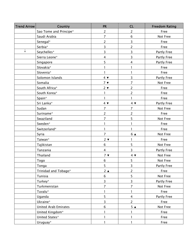| <b>Trend Arrow</b> | Country                | <b>PR</b>               | <b>CL</b>               | <b>Freedom Rating</b> |
|--------------------|------------------------|-------------------------|-------------------------|-----------------------|
|                    | Sao Tome and Principe* | $\overline{2}$          | $\overline{c}$          | Free                  |
|                    | Saudi Arabia           | $\overline{7}$          | 6                       | Not Free              |
|                    | Senegal*               | $\overline{2}$          | 3                       | Free                  |
|                    | Serbia*                | 3                       | $\overline{2}$          | Free                  |
| ↓                  | Seychelles*            | 3                       | 3                       | Partly Free           |
|                    | Sierra Leone*          | $\overline{\mathbf{4}}$ | 3                       | Partly Free           |
|                    | Singapore              | 5                       | 4                       | Partly Free           |
|                    | Slovakia*              |                         | 1                       | Free                  |
|                    | Slovenia*              | 1.                      | 1                       | Free                  |
|                    | Solomon Islands        | $4 \blacktriangledown$  | $\overline{3}$          | Partly Free           |
|                    | Somalia                | 7 <sub>7</sub>          | $\overline{7}$          | Not Free              |
|                    | South Africa*          | $2 \blacktriangledown$  | $\overline{2}$          | Free                  |
|                    | South Korea*           | L                       | $\overline{2}$          | Free                  |
|                    | Spain*                 | 1                       | 1                       | Free                  |
|                    | Sri Lanka*             | $4 \blacktriangledown$  | $4 \blacktriangledown$  | Partly Free           |
|                    | Sudan                  | $\overline{7}$          | $\overline{7}$          | Not Free              |
|                    | Suriname*              | $\overline{2}$          | $\overline{2}$          | Free                  |
|                    | Swaziland              | $\overline{7}$          | 5                       | Not Free              |
|                    | Sweden*                | 1.                      | 1                       | Free                  |
|                    | Switzerland*           | 1                       |                         | Free                  |
|                    | Syria                  | $\overline{7}$          | 6 ▲                     | Not Free              |
|                    | Taiwan*                | $2 \blacktriangledown$  | 1                       | Free                  |
|                    | Tajikistan             | 6                       | 5                       | Not Free              |
|                    | Tanzania               | $\overline{\mathbf{4}}$ | $\overline{3}$          | Partly Free           |
|                    | Thailand               | 7 <sub>v</sub>          | $4 \blacktriangledown$  | Not Free              |
|                    | Togo                   | 6                       | 5                       | Not Free              |
|                    | Tonga                  | 5                       | 3                       | Partly Free           |
|                    | Trinidad and Tobago*   | $2^{\triangle}$         | $\overline{2}$          | Free                  |
|                    | Tunisia                | 6                       | 5                       | Not Free              |
|                    | Turkey*                | 3                       | $\overline{3}$          | Partly Free           |
|                    | Turkmenistan           | $\overline{7}$          | $\overline{7}$          | Not Free              |
|                    | Tuvalu*                |                         |                         | Free                  |
|                    | Uganda                 | 5                       | $\overline{\mathbf{4}}$ | Partly Free           |
|                    | Ukraine*               | 3                       | $\overline{2}$          | Free                  |
|                    | United Arab Emirates   | 6                       | 5 <sub>A</sub>          | Not Free              |
|                    | United Kingdom*        | 1.                      |                         | Free                  |
|                    | United States*         |                         |                         | Free                  |
|                    | Uruguay*               |                         | 1                       | Free                  |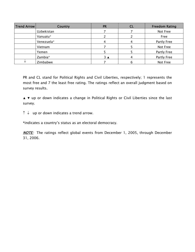| <b>Trend Arrow</b> | Country    | <b>PR</b> | <b>CL</b> | <b>Freedom Rating</b> |
|--------------------|------------|-----------|-----------|-----------------------|
|                    | Uzbekistan |           |           | Not Free              |
|                    | Vanuatu*   |           |           | Free                  |
|                    | Venezuela* |           |           | Partly Free           |
|                    | Vietnam    |           |           | Not Free              |
|                    | Yemen      |           |           | Partly Free           |
|                    | Zambia*    | 3 ⊿       |           | Partly Free           |
|                    | Zimbabwe   |           | b         | Not Free              |

PR and CL stand for Political Rights and Civil Liberties, respectively; 1 represents the most free and 7 the least free rating. The ratings reflect an overall judgment based on survey results.

▲ ▼ up or down indicates a change in Political Rights or Civil Liberties since the last survey.

 $\uparrow \downarrow$  up or down indicates a trend arrow.

\*indicates a country's status as an electoral democracy.

**NOTE:** The ratings reflect global events from December 1, 2005, through December 31, 2006.